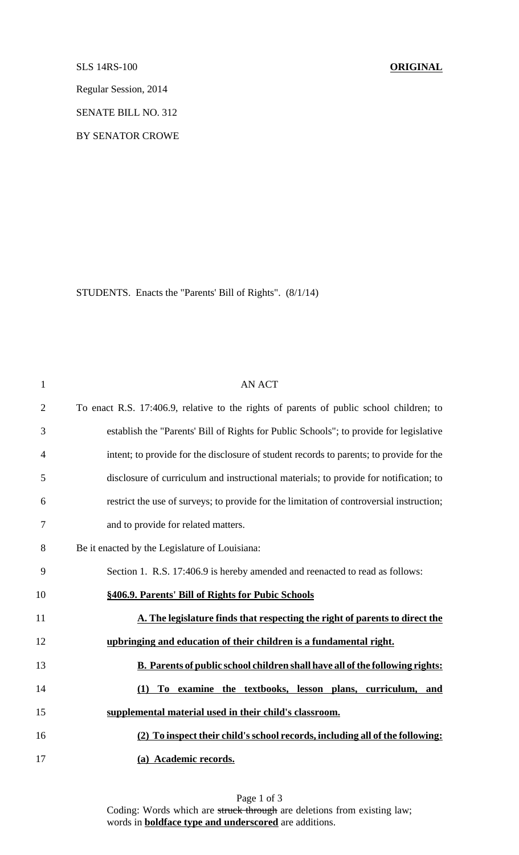## SLS 14RS-100 **ORIGINAL**

Regular Session, 2014

SENATE BILL NO. 312

BY SENATOR CROWE

STUDENTS. Enacts the "Parents' Bill of Rights". (8/1/14)

| $\mathbf{1}$   | <b>AN ACT</b>                                                                            |
|----------------|------------------------------------------------------------------------------------------|
| $\overline{2}$ | To enact R.S. 17:406.9, relative to the rights of parents of public school children; to  |
| 3              | establish the "Parents' Bill of Rights for Public Schools"; to provide for legislative   |
| $\overline{4}$ | intent; to provide for the disclosure of student records to parents; to provide for the  |
| 5              | disclosure of curriculum and instructional materials; to provide for notification; to    |
| 6              | restrict the use of surveys; to provide for the limitation of controversial instruction; |
| 7              | and to provide for related matters.                                                      |
| 8              | Be it enacted by the Legislature of Louisiana:                                           |
| 9              | Section 1. R.S. 17:406.9 is hereby amended and reenacted to read as follows:             |
| 10             | §406.9. Parents' Bill of Rights for Pubic Schools                                        |
| 11             | A. The legislature finds that respecting the right of parents to direct the              |
| 12             | upbringing and education of their children is a fundamental right.                       |
| 13             | <b>B.</b> Parents of public school children shall have all of the following rights:      |
| 14             | To examine the textbooks, lesson plans, curriculum, and<br>(1)                           |
| 15             | supplemental material used in their child's classroom.                                   |
| 16             | (2) To inspect their child's school records, including all of the following:             |
| 17             | (a) Academic records.                                                                    |

Page 1 of 3 Coding: Words which are struck through are deletions from existing law; words in **boldface type and underscored** are additions.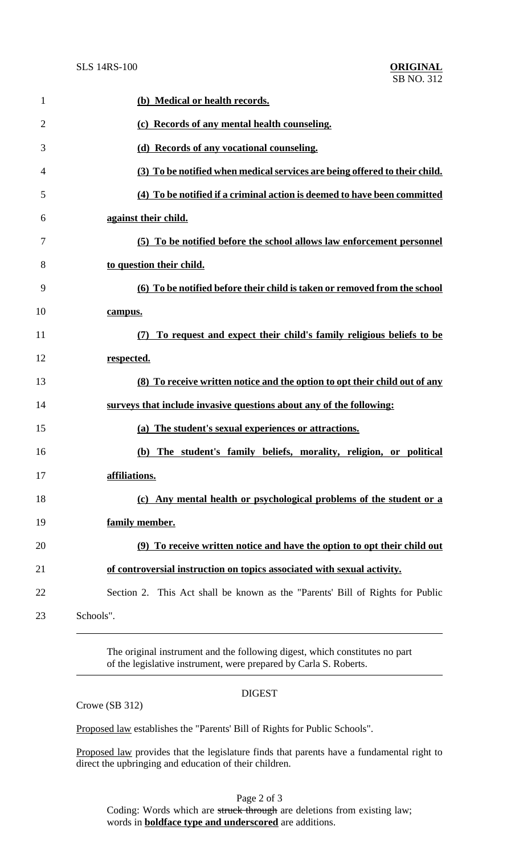| $\mathbf{1}$   | (b) Medical or health records.                                                |
|----------------|-------------------------------------------------------------------------------|
| $\overline{2}$ | (c) Records of any mental health counseling.                                  |
| 3              | (d) Records of any vocational counseling.                                     |
| 4              | (3) To be notified when medical services are being offered to their child.    |
| 5              | (4) To be notified if a criminal action is deemed to have been committed      |
| 6              | against their child.                                                          |
| 7              | (5) To be notified before the school allows law enforcement personnel         |
| 8              | to question their child.                                                      |
| 9              | (6) To be notified before their child is taken or removed from the school     |
| 10             | campus.                                                                       |
| 11             | (7) To request and expect their child's family religious beliefs to be        |
| 12             | respected.                                                                    |
| 13             | (8) To receive written notice and the option to opt their child out of any    |
| 14             | surveys that include invasive questions about any of the following:           |
| 15             | (a) The student's sexual experiences or attractions.                          |
| 16             | (b) The student's family beliefs, morality, religion, or political            |
| 17             | affiliations.                                                                 |
| 18             | (c) Any mental health or psychological problems of the student or a           |
| 19             | family member.                                                                |
| 20             | (9) To receive written notice and have the option to opt their child out      |
| 21             | of controversial instruction on topics associated with sexual activity.       |
| 22             | Section 2. This Act shall be known as the "Parents' Bill of Rights for Public |
| 23             | Schools".                                                                     |

The original instrument and the following digest, which constitutes no part of the legislative instrument, were prepared by Carla S. Roberts.

## DIGEST

Crowe (SB 312)

Proposed law establishes the "Parents' Bill of Rights for Public Schools".

Proposed law provides that the legislature finds that parents have a fundamental right to direct the upbringing and education of their children.

Page 2 of 3 Coding: Words which are struck through are deletions from existing law; words in **boldface type and underscored** are additions.